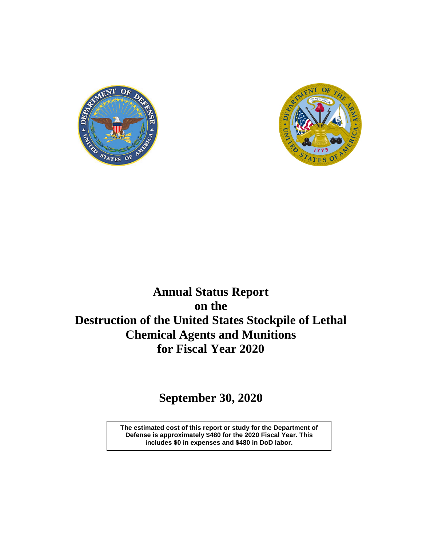



# **Annual Status Report on the Destruction of the United States Stockpile of Lethal Chemical Agents and Munitions for Fiscal Year 2020**

**September 30, 2020**

**The estimated cost of this report or study for the Department of Defense is approximately \$480 for the 2020 Fiscal Year. This includes \$0 in expenses and \$480 in DoD labor.**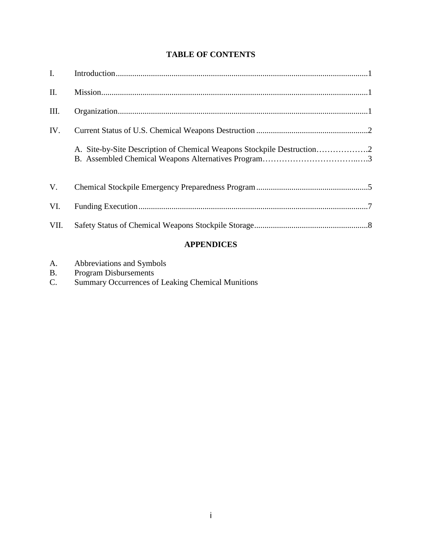# **TABLE OF CONTENTS**

| VII. |  |
|------|--|
| VI.  |  |
| V.   |  |
|      |  |
| IV.  |  |
| III. |  |
| II.  |  |
|      |  |

# **APPENDICES**

| A. | Abbreviations and Symbols |  |
|----|---------------------------|--|
|----|---------------------------|--|

- B. Program Disbursements
- C. Summary Occurrences of Leaking Chemical Munitions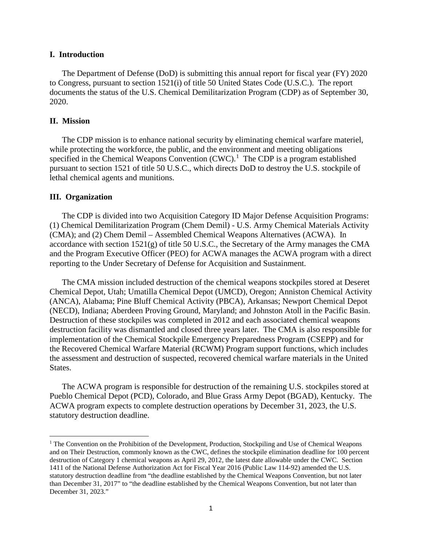## **I. Introduction**

The Department of Defense (DoD) is submitting this annual report for fiscal year (FY) 2020 to Congress, pursuant to section 1521(i) of title 50 United States Code (U.S.C.). The report documents the status of the U.S. Chemical Demilitarization Program (CDP) as of September 30, 2020.

## **II. Mission**

The CDP mission is to enhance national security by eliminating chemical warfare materiel, while protecting the workforce, the public, and the environment and meeting obligations specified in the Chemical Weapons Convention  $(CWC)$ .<sup>[1](#page-2-0)</sup> The CDP is a program established pursuant to section 1521 of title 50 U.S.C., which directs DoD to destroy the U.S. stockpile of lethal chemical agents and munitions.

#### **III. Organization**

 $\overline{a}$ 

The CDP is divided into two Acquisition Category ID Major Defense Acquisition Programs: (1) Chemical Demilitarization Program (Chem Demil) - U.S. Army Chemical Materials Activity (CMA); and (2) Chem Demil – Assembled Chemical Weapons Alternatives (ACWA). In accordance with section  $1521(g)$  of title 50 U.S.C., the Secretary of the Army manages the CMA and the Program Executive Officer (PEO) for ACWA manages the ACWA program with a direct reporting to the Under Secretary of Defense for Acquisition and Sustainment.

The CMA mission included destruction of the chemical weapons stockpiles stored at Deseret Chemical Depot, Utah; Umatilla Chemical Depot (UMCD), Oregon; Anniston Chemical Activity (ANCA), Alabama; Pine Bluff Chemical Activity (PBCA), Arkansas; Newport Chemical Depot (NECD), Indiana; Aberdeen Proving Ground, Maryland; and Johnston Atoll in the Pacific Basin. Destruction of these stockpiles was completed in 2012 and each associated chemical weapons destruction facility was dismantled and closed three years later. The CMA is also responsible for implementation of the Chemical Stockpile Emergency Preparedness Program (CSEPP) and for the Recovered Chemical Warfare Material (RCWM) Program support functions, which includes the assessment and destruction of suspected, recovered chemical warfare materials in the United States.

The ACWA program is responsible for destruction of the remaining U.S. stockpiles stored at Pueblo Chemical Depot (PCD), Colorado, and Blue Grass Army Depot (BGAD), Kentucky. The ACWA program expects to complete destruction operations by December 31, 2023, the U.S. statutory destruction deadline.

<span id="page-2-0"></span><sup>&</sup>lt;sup>1</sup> The Convention on the Prohibition of the Development, Production, Stockpiling and Use of Chemical Weapons and on Their Destruction, commonly known as the CWC, defines the stockpile elimination deadline for 100 percent destruction of Category 1 chemical weapons as April 29, 2012, the latest date allowable under the CWC. Section 1411 of the National Defense Authorization Act for Fiscal Year 2016 (Public Law 114-92) amended the U.S. statutory destruction deadline from "the deadline established by the Chemical Weapons Convention, but not later than December 31, 2017" to "the deadline established by the Chemical Weapons Convention, but not later than December 31, 2023."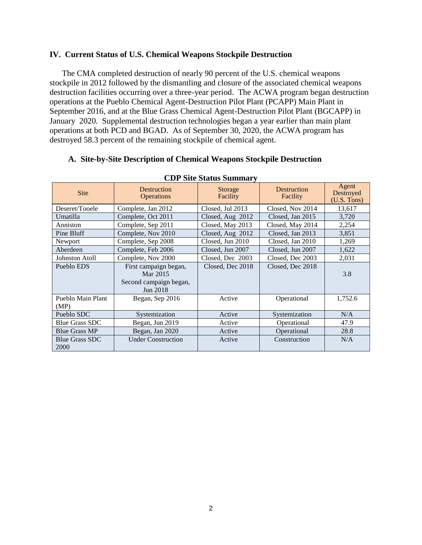## **IV. Current Status of U.S. Chemical Weapons Stockpile Destruction**

The CMA completed destruction of nearly 90 percent of the U.S. chemical weapons stockpile in 2012 followed by the dismantling and closure of the associated chemical weapons destruction facilities occurring over a three-year period. The ACWA program began destruction operations at the Pueblo Chemical Agent-Destruction Pilot Plant (PCAPP) Main Plant in September 2016, and at the Blue Grass Chemical Agent-Destruction Pilot Plant (BGCAPP) in January 2020. Supplemental destruction technologies began a year earlier than main plant operations at both PCD and BGAD. As of September 30, 2020, the ACWA program has destroyed 58.3 percent of the remaining stockpile of chemical agent.

## **A. Site-by-Site Description of Chemical Weapons Stockpile Destruction**

| <b>Site</b>                   | <b>Destruction</b><br><b>Operations</b>                                 | Storage<br>Facility                  | Destruction<br>Facility | Agent<br>Destroyed<br>(U.S. Tons) |
|-------------------------------|-------------------------------------------------------------------------|--------------------------------------|-------------------------|-----------------------------------|
| Deseret/Tooele                | Complete, Jan 2012                                                      | Closed, Jul 2013                     | Closed, Nov 2014        | 13,617                            |
| Umatilla                      | Complete, Oct 2011                                                      | Closed, Aug 2012                     | Closed, Jan 2015        | 3,720                             |
| Anniston                      | Complete, Sep 2011                                                      | Closed, May 2013                     | Closed, May 2014        | 2,254                             |
| Pine Bluff                    | Complete, Nov 2010                                                      | Closed, Aug 2012                     | Closed, Jan 2013        | 3,851                             |
| Newport                       | Complete, Sep 2008                                                      | Closed, Jun 2010                     | Closed, Jan 2010        | 1,269                             |
| Aberdeen                      | Complete, Feb 2006                                                      | Closed, Jun 2007<br>Closed, Jun 2007 |                         | 1,622                             |
| <b>Johnston Atoll</b>         | Complete, Nov 2000                                                      | Closed, Dec 2003<br>Closed, Dec 2003 |                         | 2,031                             |
| Pueblo EDS                    | First campaign began,<br>Mar 2015<br>Second campaign began,<br>Jun 2018 | Closed, Dec 2018                     | Closed, Dec 2018        | 3.8                               |
| Pueblo Main Plant<br>(MP)     | Began, Sep 2016                                                         | Active                               | Operational             | 1,752.6                           |
| Pueblo SDC                    | Systemization                                                           | Active                               | Systemization           | N/A                               |
| <b>Blue Grass SDC</b>         | Began, Jun 2019                                                         | Active                               | Operational             | 47.9                              |
| <b>Blue Grass MP</b>          | Began, Jan 2020                                                         | Active                               | Operational             | 28.8                              |
| <b>Blue Grass SDC</b><br>2000 | <b>Under Construction</b>                                               | Active                               | Construction            | N/A                               |

# **CDP Site Status Summary**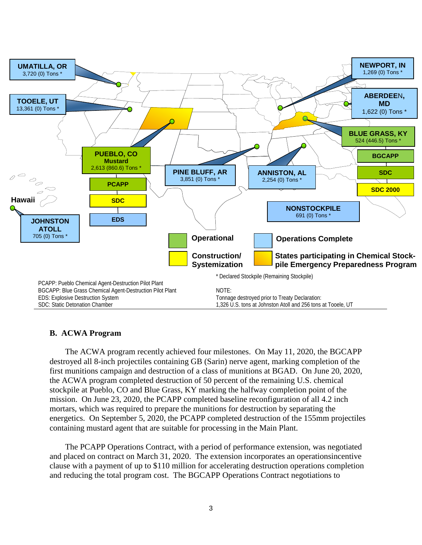

# **B. ACWA Program**

The ACWA program recently achieved four milestones. On May 11, 2020, the BGCAPP destroyed all 8-inch projectiles containing GB (Sarin) nerve agent, marking completion of the first munitions campaign and destruction of a class of munitions at BGAD. On June 20, 2020, the ACWA program completed destruction of 50 percent of the remaining U.S. chemical stockpile at Pueblo, CO and Blue Grass, KY marking the halfway completion point of the mission. On June 23, 2020, the PCAPP completed baseline reconfiguration of all 4.2 inch mortars, which was required to prepare the munitions for destruction by separating the energetics. On September 5, 2020, the PCAPP completed destruction of the 155mm projectiles containing mustard agent that are suitable for processing in the Main Plant.

The PCAPP Operations Contract, with a period of performance extension, was negotiated and placed on contract on March 31, 2020. The extension incorporates an operationsincentive clause with a payment of up to \$110 million for accelerating destruction operations completion and reducing the total program cost. The BGCAPP Operations Contract negotiations to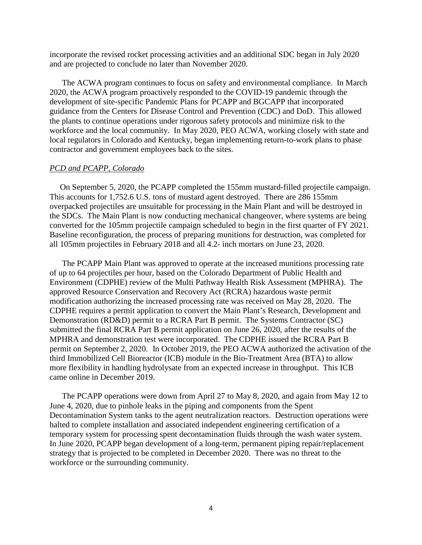incorporate the revised rocket processing activities and an additional SDC began in July 2020 and are projected to conclude no later than November 2020.

The ACWA program continues to focus on safety and environmental compliance. In March 2020, the ACWA program proactively responded to the COVID-19 pandemic through the development of site-specific Pandemic Plans for PCAPP and BGCAPP that incorporated guidance from the Centers for Disease Control and Prevention (CDC) and DoD. This allowed the plants to continue operations under rigorous safety protocols and minimize risk to the workforce and the local community. In May 2020, PEO ACWA, working closely with state and local regulators in Colorado and Kentucky, began implementing return-to-work plans to phase contractor and government employees back to the sites.

## *PCD and PCAPP, Colorado*

 On September 5, 2020, the PCAPP completed the 155mm mustard-filled projectile campaign. This accounts for 1,752.6 U.S. tons of mustard agent destroyed. There are 286 155mm overpacked projectiles are unsuitable for processing in the Main Plant and will be destroyed in the SDCs. The Main Plant is now conducting mechanical changeover, where systems are being converted for the 105mm projectile campaign scheduled to begin in the first quarter of FY 2021. Baseline reconfiguration, the process of preparing munitions for destruction, was completed for all 105mm projectiles in February 2018 and all 4.2- inch mortars on June 23, 2020.

The PCAPP Main Plant was approved to operate at the increased munitions processing rate of up to 64 projectiles per hour, based on the Colorado Department of Public Health and Environment (CDPHE) review of the Multi Pathway Health Risk Assessment (MPHRA). The approved Resource Conservation and Recovery Act (RCRA) hazardous waste permit modification authorizing the increased processing rate was received on May 28, 2020. The CDPHE requires a permit application to convert the Main Plant's Research, Development and Demonstration (RD&D) permit to a RCRA Part B permit. The Systems Contractor (SC) submitted the final RCRA Part B permit application on June 26, 2020, after the results of the MPHRA and demonstration test were incorporated. The CDPHE issued the RCRA Part B permit on September 2, 2020. In October 2019, the PEO ACWA authorized the activation of the third Immobilized Cell Bioreactor (ICB) module in the Bio-Treatment Area (BTA) to allow more flexibility in handling hydrolysate from an expected increase in throughput. This ICB came online in December 2019.

The PCAPP operations were down from April 27 to May 8, 2020, and again from May 12 to June 4, 2020, due to pinhole leaks in the piping and components from the Spent Decontamination System tanks to the agent neutralization reactors. Destruction operations were halted to complete installation and associated independent engineering certification of a temporary system for processing spent decontamination fluids through the wash water system. In June 2020, PCAPP began development of a long-term, permanent piping repair/replacement strategy that is projected to be completed in December 2020. There was no threat to the workforce or the surrounding community.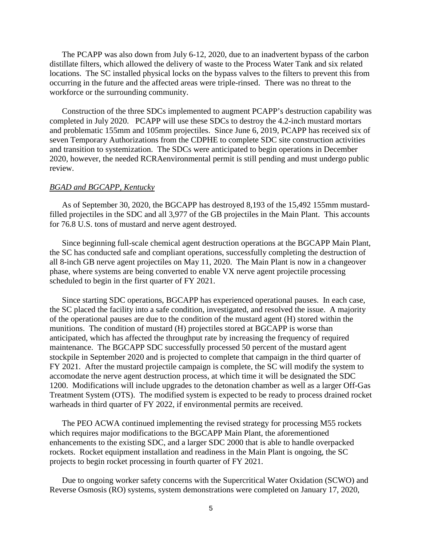The PCAPP was also down from July 6-12, 2020, due to an inadvertent bypass of the carbon distillate filters, which allowed the delivery of waste to the Process Water Tank and six related locations. The SC installed physical locks on the bypass valves to the filters to prevent this from occurring in the future and the affected areas were triple-rinsed. There was no threat to the workforce or the surrounding community.

Construction of the three SDCs implemented to augment PCAPP's destruction capability was completed in July 2020. PCAPP will use these SDCs to destroy the 4.2-inch mustard mortars and problematic 155mm and 105mm projectiles. Since June 6, 2019, PCAPP has received six of seven Temporary Authorizations from the CDPHE to complete SDC site construction activities and transition to systemization. The SDCs were anticipated to begin operations in December 2020, however, the needed RCRAenvironmental permit is still pending and must undergo public review.

#### *BGAD and BGCAPP, Kentucky*

As of September 30, 2020, the BGCAPP has destroyed 8,193 of the 15,492 155mm mustardfilled projectiles in the SDC and all 3,977 of the GB projectiles in the Main Plant. This accounts for 76.8 U.S. tons of mustard and nerve agent destroyed.

Since beginning full-scale chemical agent destruction operations at the BGCAPP Main Plant, the SC has conducted safe and compliant operations, successfully completing the destruction of all 8-inch GB nerve agent projectiles on May 11, 2020. The Main Plant is now in a changeover phase, where systems are being converted to enable VX nerve agent projectile processing scheduled to begin in the first quarter of FY 2021.

Since starting SDC operations, BGCAPP has experienced operational pauses. In each case, the SC placed the facility into a safe condition, investigated, and resolved the issue. A majority of the operational pauses are due to the condition of the mustard agent (H) stored within the munitions. The condition of mustard (H) projectiles stored at BGCAPP is worse than anticipated, which has affected the throughput rate by increasing the frequency of required maintenance. The BGCAPP SDC successfully processed 50 percent of the mustard agent stockpile in September 2020 and is projected to complete that campaign in the third quarter of FY 2021. After the mustard projectile campaign is complete, the SC will modify the system to accomodate the nerve agent destruction process, at which time it will be designated the SDC 1200. Modifications will include upgrades to the detonation chamber as well as a larger Off-Gas Treatment System (OTS). The modified system is expected to be ready to process drained rocket warheads in third quarter of FY 2022, if environmental permits are received.

The PEO ACWA continued implementing the revised strategy for processing M55 rockets which requires major modifications to the BGCAPP Main Plant, the aforementioned enhancements to the existing SDC, and a larger SDC 2000 that is able to handle overpacked rockets. Rocket equipment installation and readiness in the Main Plant is ongoing, the SC projects to begin rocket processing in fourth quarter of FY 2021.

Due to ongoing worker safety concerns with the Supercritical Water Oxidation (SCWO) and Reverse Osmosis (RO) systems, system demonstrations were completed on January 17, 2020,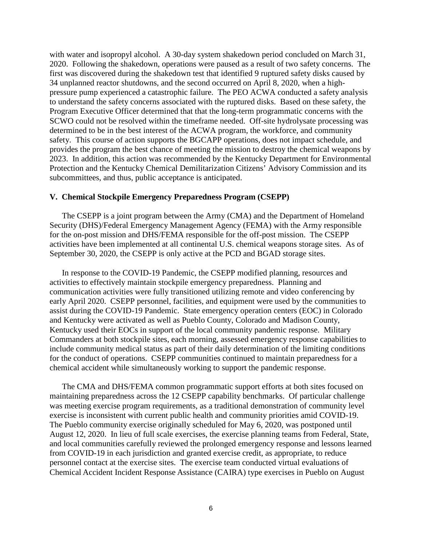with water and isopropyl alcohol. A 30-day system shakedown period concluded on March 31, 2020. Following the shakedown, operations were paused as a result of two safety concerns. The first was discovered during the shakedown test that identified 9 ruptured safety disks caused by 34 unplanned reactor shutdowns, and the second occurred on April 8, 2020, when a highpressure pump experienced a catastrophic failure. The PEO ACWA conducted a safety analysis to understand the safety concerns associated with the ruptured disks. Based on these safety, the Program Executive Officer determined that that the long-term programmatic concerns with the SCWO could not be resolved within the timeframe needed. Off-site hydrolysate processing was determined to be in the best interest of the ACWA program, the workforce, and community safety. This course of action supports the BGCAPP operations, does not impact schedule, and provides the program the best chance of meeting the mission to destroy the chemical weapons by 2023. In addition, this action was recommended by the Kentucky Department for Environmental Protection and the Kentucky Chemical Demilitarization Citizens' Advisory Commission and its subcommittees, and thus, public acceptance is anticipated.

## **V. Chemical Stockpile Emergency Preparedness Program (CSEPP)**

The CSEPP is a joint program between the Army (CMA) and the Department of Homeland Security (DHS)/Federal Emergency Management Agency (FEMA) with the Army responsible for the on-post mission and DHS/FEMA responsible for the off-post mission. The CSEPP activities have been implemented at all continental U.S. chemical weapons storage sites. As of September 30, 2020, the CSEPP is only active at the PCD and BGAD storage sites.

In response to the COVID-19 Pandemic, the CSEPP modified planning, resources and activities to effectively maintain stockpile emergency preparedness. Planning and communication activities were fully transitioned utilizing remote and video conferencing by early April 2020. CSEPP personnel, facilities, and equipment were used by the communities to assist during the COVID-19 Pandemic. State emergency operation centers (EOC) in Colorado and Kentucky were activated as well as Pueblo County, Colorado and Madison County, Kentucky used their EOCs in support of the local community pandemic response. Military Commanders at both stockpile sites, each morning, assessed emergency response capabilities to include community medical status as part of their daily determination of the limiting conditions for the conduct of operations. CSEPP communities continued to maintain preparedness for a chemical accident while simultaneously working to support the pandemic response.

The CMA and DHS/FEMA common programmatic support efforts at both sites focused on maintaining preparedness across the 12 CSEPP capability benchmarks. Of particular challenge was meeting exercise program requirements, as a traditional demonstration of community level exercise is inconsistent with current public health and community priorities amid COVID-19. The Pueblo community exercise originally scheduled for May 6, 2020, was postponed until August 12, 2020. In lieu of full scale exercises, the exercise planning teams from Federal, State, and local communities carefully reviewed the prolonged emergency response and lessons learned from COVID-19 in each jurisdiction and granted exercise credit, as appropriate, to reduce personnel contact at the exercise sites. The exercise team conducted virtual evaluations of Chemical Accident Incident Response Assistance (CAIRA) type exercises in Pueblo on August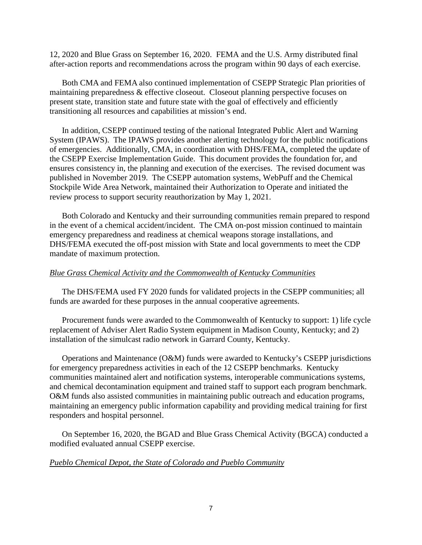12, 2020 and Blue Grass on September 16, 2020. FEMA and the U.S. Army distributed final after-action reports and recommendations across the program within 90 days of each exercise.

Both CMA and FEMA also continued implementation of CSEPP Strategic Plan priorities of maintaining preparedness & effective closeout. Closeout planning perspective focuses on present state, transition state and future state with the goal of effectively and efficiently transitioning all resources and capabilities at mission's end.

In addition, CSEPP continued testing of the national Integrated Public Alert and Warning System (IPAWS). The IPAWS provides another alerting technology for the public notifications of emergencies. Additionally, CMA, in coordination with DHS/FEMA, completed the update of the CSEPP Exercise Implementation Guide. This document provides the foundation for, and ensures consistency in, the planning and execution of the exercises. The revised document was published in November 2019. The CSEPP automation systems, WebPuff and the Chemical Stockpile Wide Area Network, maintained their Authorization to Operate and initiated the review process to support security reauthorization by May 1, 2021.

Both Colorado and Kentucky and their surrounding communities remain prepared to respond in the event of a chemical accident/incident. The CMA on-post mission continued to maintain emergency preparedness and readiness at chemical weapons storage installations, and DHS/FEMA executed the off-post mission with State and local governments to meet the CDP mandate of maximum protection.

#### *Blue Grass Chemical Activity and the Commonwealth of Kentucky Communities*

The DHS/FEMA used FY 2020 funds for validated projects in the CSEPP communities; all funds are awarded for these purposes in the annual cooperative agreements.

Procurement funds were awarded to the Commonwealth of Kentucky to support: 1) life cycle replacement of Adviser Alert Radio System equipment in Madison County, Kentucky; and 2) installation of the simulcast radio network in Garrard County, Kentucky.

Operations and Maintenance (O&M) funds were awarded to Kentucky's CSEPP jurisdictions for emergency preparedness activities in each of the 12 CSEPP benchmarks. Kentucky communities maintained alert and notification systems, interoperable communications systems, and chemical decontamination equipment and trained staff to support each program benchmark. O&M funds also assisted communities in maintaining public outreach and education programs, maintaining an emergency public information capability and providing medical training for first responders and hospital personnel.

On September 16, 2020, the BGAD and Blue Grass Chemical Activity (BGCA) conducted a modified evaluated annual CSEPP exercise.

#### *Pueblo Chemical Depot, the State of Colorado and Pueblo Community*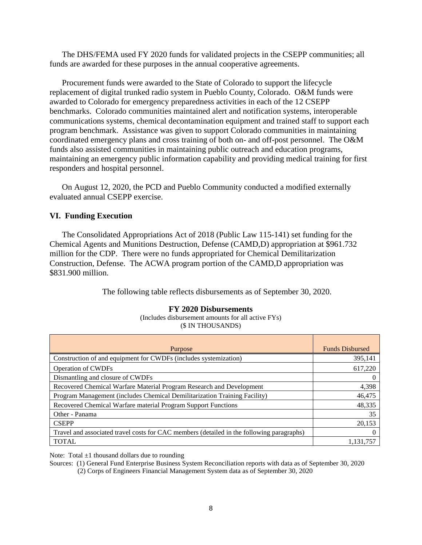The DHS/FEMA used FY 2020 funds for validated projects in the CSEPP communities; all funds are awarded for these purposes in the annual cooperative agreements.

Procurement funds were awarded to the State of Colorado to support the lifecycle replacement of digital trunked radio system in Pueblo County, Colorado. O&M funds were awarded to Colorado for emergency preparedness activities in each of the 12 CSEPP benchmarks. Colorado communities maintained alert and notification systems, interoperable communications systems, chemical decontamination equipment and trained staff to support each program benchmark. Assistance was given to support Colorado communities in maintaining coordinated emergency plans and cross training of both on- and off-post personnel. The O&M funds also assisted communities in maintaining public outreach and education programs, maintaining an emergency public information capability and providing medical training for first responders and hospital personnel.

On August 12, 2020, the PCD and Pueblo Community conducted a modified externally evaluated annual CSEPP exercise.

## **VI. Funding Execution**

The Consolidated Appropriations Act of 2018 (Public Law 115-141) set funding for the Chemical Agents and Munitions Destruction, Defense (CAMD,D) appropriation at \$961.732 million for the CDP. There were no funds appropriated for Chemical Demilitarization Construction, Defense. The ACWA program portion of the CAMD,D appropriation was \$831.900 million.

The following table reflects disbursements as of September 30, 2020.

#### **FY 2020 Disbursements**

(Includes disbursement amounts for all active FYs) (\$ IN THOUSANDS)

| Purpose                                                                                   | <b>Funds Disbursed</b> |  |  |
|-------------------------------------------------------------------------------------------|------------------------|--|--|
| Construction of and equipment for CWDFs (includes systemization)                          | 395,141                |  |  |
| <b>Operation of CWDFs</b>                                                                 | 617,220                |  |  |
| Dismantling and closure of CWDFs                                                          |                        |  |  |
| Recovered Chemical Warfare Material Program Research and Development                      | 4,398                  |  |  |
| Program Management (includes Chemical Demilitarization Training Facility)                 | 46,475                 |  |  |
| Recovered Chemical Warfare material Program Support Functions                             | 48,335                 |  |  |
| Other - Panama                                                                            | 35                     |  |  |
| <b>CSEPP</b>                                                                              | 20,153                 |  |  |
| Travel and associated travel costs for CAC members (detailed in the following paragraphs) |                        |  |  |
| <b>TOTAL</b>                                                                              | 1.131.757              |  |  |

Note: Total  $\pm 1$  thousand dollars due to rounding

Sources: (1) General Fund Enterprise Business System Reconciliation reports with data as of September 30, 2020

(2) Corps of Engineers Financial Management System data as of September 30, 2020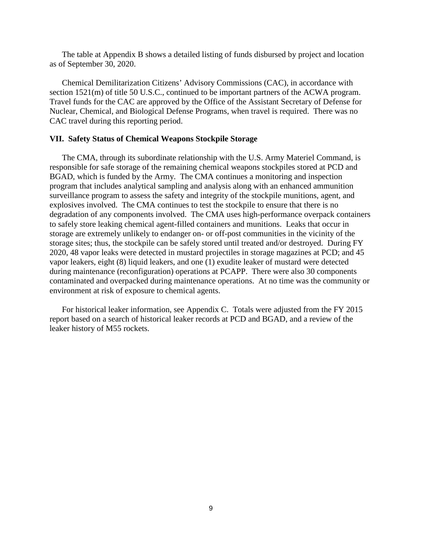The table at Appendix B shows a detailed listing of funds disbursed by project and location as of September 30, 2020.

Chemical Demilitarization Citizens' Advisory Commissions (CAC), in accordance with section 1521(m) of title 50 U.S.C., continued to be important partners of the ACWA program. Travel funds for the CAC are approved by the Office of the Assistant Secretary of Defense for Nuclear, Chemical, and Biological Defense Programs, when travel is required. There was no CAC travel during this reporting period.

#### **VII. Safety Status of Chemical Weapons Stockpile Storage**

The CMA, through its subordinate relationship with the U.S. Army Materiel Command, is responsible for safe storage of the remaining chemical weapons stockpiles stored at PCD and BGAD, which is funded by the Army. The CMA continues a monitoring and inspection program that includes analytical sampling and analysis along with an enhanced ammunition surveillance program to assess the safety and integrity of the stockpile munitions, agent, and explosives involved. The CMA continues to test the stockpile to ensure that there is no degradation of any components involved. The CMA uses high-performance overpack containers to safely store leaking chemical agent-filled containers and munitions. Leaks that occur in storage are extremely unlikely to endanger on- or off-post communities in the vicinity of the storage sites; thus, the stockpile can be safely stored until treated and/or destroyed. During FY 2020, 48 vapor leaks were detected in mustard projectiles in storage magazines at PCD; and 45 vapor leakers, eight (8) liquid leakers, and one (1) exudite leaker of mustard were detected during maintenance (reconfiguration) operations at PCAPP. There were also 30 components contaminated and overpacked during maintenance operations. At no time was the community or environment at risk of exposure to chemical agents.

For historical leaker information, see Appendix C. Totals were adjusted from the FY 2015 report based on a search of historical leaker records at PCD and BGAD, and a review of the leaker history of M55 rockets.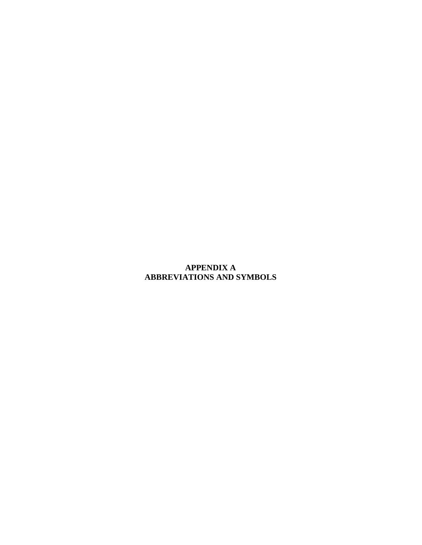# **APPENDIX A ABBREVIATIONS AND SYMBOLS**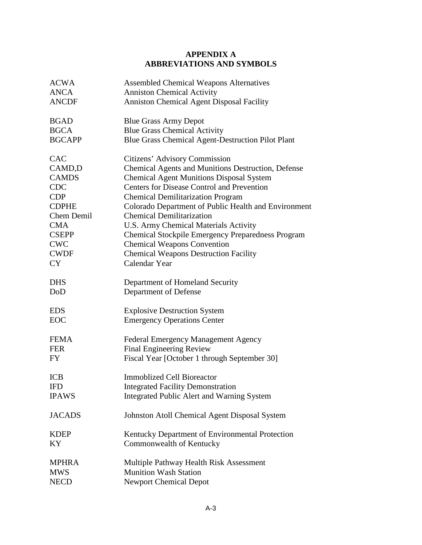# **APPENDIX A ABBREVIATIONS AND SYMBOLS**

| <b>ACWA</b>   | <b>Assembled Chemical Weapons Alternatives</b>       |
|---------------|------------------------------------------------------|
| <b>ANCA</b>   | <b>Anniston Chemical Activity</b>                    |
| <b>ANCDF</b>  | <b>Anniston Chemical Agent Disposal Facility</b>     |
| <b>BGAD</b>   | <b>Blue Grass Army Depot</b>                         |
| <b>BGCA</b>   | <b>Blue Grass Chemical Activity</b>                  |
| <b>BGCAPP</b> | Blue Grass Chemical Agent-Destruction Pilot Plant    |
| <b>CAC</b>    | Citizens' Advisory Commission                        |
| CAMD,D        | Chemical Agents and Munitions Destruction, Defense   |
| <b>CAMDS</b>  | <b>Chemical Agent Munitions Disposal System</b>      |
| <b>CDC</b>    | <b>Centers for Disease Control and Prevention</b>    |
| <b>CDP</b>    | <b>Chemical Demilitarization Program</b>             |
| <b>CDPHE</b>  | Colorado Department of Public Health and Environment |
| Chem Demil    | <b>Chemical Demilitarization</b>                     |
| <b>CMA</b>    | U.S. Army Chemical Materials Activity                |
| <b>CSEPP</b>  | Chemical Stockpile Emergency Preparedness Program    |
| <b>CWC</b>    | <b>Chemical Weapons Convention</b>                   |
| <b>CWDF</b>   | <b>Chemical Weapons Destruction Facility</b>         |
| <b>CY</b>     | Calendar Year                                        |
| <b>DHS</b>    | Department of Homeland Security                      |
| DoD           | Department of Defense                                |
| <b>EDS</b>    | <b>Explosive Destruction System</b>                  |
| <b>EOC</b>    | <b>Emergency Operations Center</b>                   |
| <b>FEMA</b>   | <b>Federal Emergency Management Agency</b>           |
| <b>FER</b>    | Final Engineering Review                             |
| <b>FY</b>     | Fiscal Year [October 1 through September 30]         |
| <b>ICB</b>    | <b>Immoblized Cell Bioreactor</b>                    |
| <b>IFD</b>    | <b>Integrated Facility Demonstration</b>             |
| <b>IPAWS</b>  | Integrated Public Alert and Warning System           |
| <b>JACADS</b> | Johnston Atoll Chemical Agent Disposal System        |
| <b>KDEP</b>   | Kentucky Department of Environmental Protection      |
| KY            | Commonwealth of Kentucky                             |
| <b>MPHRA</b>  | Multiple Pathway Health Risk Assessment              |
| <b>MWS</b>    | <b>Munition Wash Station</b>                         |
| NECD          | <b>Newport Chemical Depot</b>                        |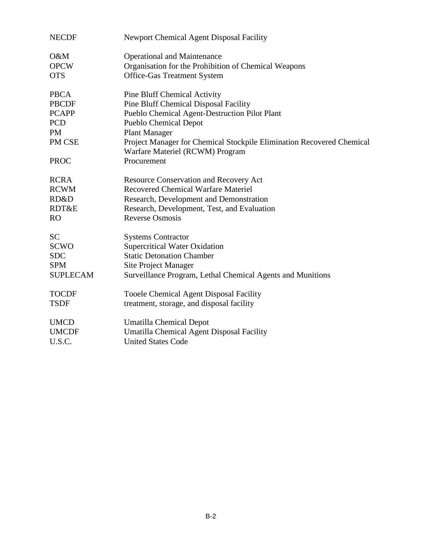| <b>NECDF</b>    | <b>Newport Chemical Agent Disposal Facility</b>                                                          |
|-----------------|----------------------------------------------------------------------------------------------------------|
| O&M             | <b>Operational and Maintenance</b>                                                                       |
| <b>OPCW</b>     | Organisation for the Prohibition of Chemical Weapons                                                     |
| <b>OTS</b>      | <b>Office-Gas Treatment System</b>                                                                       |
| <b>PBCA</b>     | <b>Pine Bluff Chemical Activity</b>                                                                      |
| <b>PBCDF</b>    | Pine Bluff Chemical Disposal Facility                                                                    |
| <b>PCAPP</b>    | Pueblo Chemical Agent-Destruction Pilot Plant                                                            |
| <b>PCD</b>      | <b>Pueblo Chemical Depot</b>                                                                             |
| <b>PM</b>       | <b>Plant Manager</b>                                                                                     |
| PM CSE          | Project Manager for Chemical Stockpile Elimination Recovered Chemical<br>Warfare Materiel (RCWM) Program |
| <b>PROC</b>     | Procurement                                                                                              |
| <b>RCRA</b>     | <b>Resource Conservation and Recovery Act</b>                                                            |
| <b>RCWM</b>     | Recovered Chemical Warfare Materiel                                                                      |
| RD&D            | Research, Development and Demonstration                                                                  |
| RDT&E           | Research, Development, Test, and Evaluation                                                              |
| <b>RO</b>       | <b>Reverse Osmosis</b>                                                                                   |
| <b>SC</b>       | <b>Systems Contractor</b>                                                                                |
| <b>SCWO</b>     | <b>Supercritical Water Oxidation</b>                                                                     |
| <b>SDC</b>      | <b>Static Detonation Chamber</b>                                                                         |
| <b>SPM</b>      | <b>Site Project Manager</b>                                                                              |
| <b>SUPLECAM</b> | Surveillance Program, Lethal Chemical Agents and Munitions                                               |
| <b>TOCDF</b>    | <b>Tooele Chemical Agent Disposal Facility</b>                                                           |
| <b>TSDF</b>     | treatment, storage, and disposal facility                                                                |
| <b>UMCD</b>     | <b>Umatilla Chemical Depot</b>                                                                           |
| <b>UMCDF</b>    | Umatilla Chemical Agent Disposal Facility                                                                |
| U.S.C.          | <b>United States Code</b>                                                                                |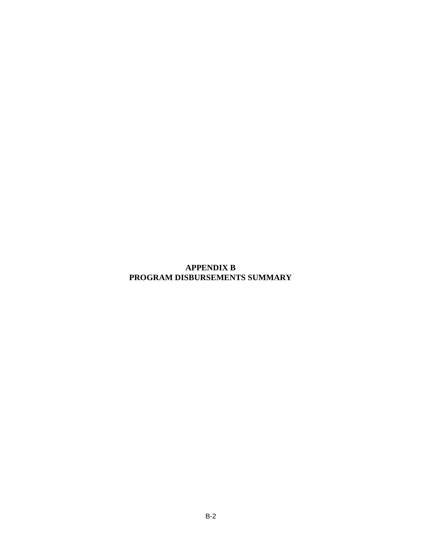# **APPENDIX B PROGRAM DISBURSEMENTS SUMMARY**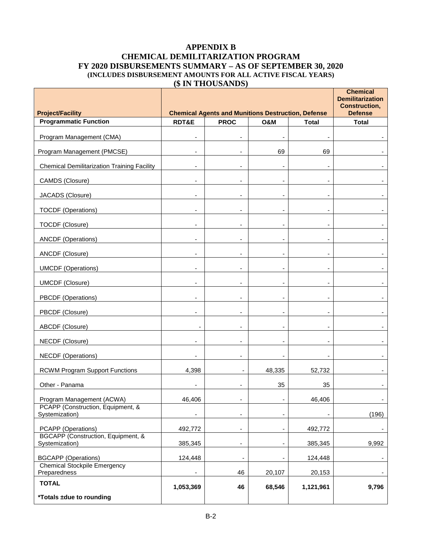# **APPENDIX B CHEMICAL DEMILITARIZATION PROGRAM FY 2020 DISBURSEMENTS SUMMARY – AS OF SEPTEMBER 30, 2020 (INCLUDES DISBURSEMENT AMOUNTS FOR ALL ACTIVE FISCAL YEARS) (\$ IN THOUSANDS)**

| <b>Project/Facility</b>                                        |                          | <b>Chemical Agents and Munitions Destruction, Defense</b> |                |                          | <b>Chemical</b><br><b>Demilitarization</b><br><b>Construction,</b><br><b>Defense</b> |
|----------------------------------------------------------------|--------------------------|-----------------------------------------------------------|----------------|--------------------------|--------------------------------------------------------------------------------------|
| <b>Programmatic Function</b>                                   | RDT&E                    | <b>PROC</b>                                               | <b>O&amp;M</b> | <b>Total</b>             | <b>Total</b>                                                                         |
| Program Management (CMA)                                       | ٠                        |                                                           |                |                          |                                                                                      |
| Program Management (PMCSE)                                     | $\overline{\phantom{a}}$ | $\overline{\phantom{a}}$                                  | 69             | 69                       |                                                                                      |
| <b>Chemical Demilitarization Training Facility</b>             | ۰                        |                                                           |                |                          |                                                                                      |
| CAMDS (Closure)                                                | $\blacksquare$           | $\overline{\phantom{0}}$                                  |                | $\overline{\phantom{0}}$ |                                                                                      |
| JACADS (Closure)                                               | $\blacksquare$           |                                                           |                |                          |                                                                                      |
| <b>TOCDF</b> (Operations)                                      | ۰                        | $\blacksquare$                                            |                | ٠                        |                                                                                      |
| TOCDF (Closure)                                                | ٠                        |                                                           |                |                          |                                                                                      |
| <b>ANCDF</b> (Operations)                                      | ٠                        |                                                           |                |                          |                                                                                      |
| ANCDF (Closure)                                                | ٠                        |                                                           |                |                          |                                                                                      |
| <b>UMCDF</b> (Operations)                                      | ٠                        |                                                           |                |                          |                                                                                      |
| <b>UMCDF (Closure)</b>                                         | ٠                        |                                                           |                | $\blacksquare$           |                                                                                      |
| PBCDF (Operations)                                             | ٠                        |                                                           |                |                          |                                                                                      |
| PBCDF (Closure)                                                |                          |                                                           |                |                          |                                                                                      |
| ABCDF (Closure)                                                |                          |                                                           |                |                          |                                                                                      |
| NECDF (Closure)                                                | -                        |                                                           |                |                          |                                                                                      |
| <b>NECDF</b> (Operations)                                      | ٠                        | $\overline{\phantom{a}}$                                  |                |                          |                                                                                      |
| <b>RCWM Program Support Functions</b>                          | 4,398                    | $\overline{\phantom{a}}$                                  | 48,335         | 52,732                   |                                                                                      |
| Other - Panama                                                 |                          |                                                           | 35             | 35                       |                                                                                      |
| Program Management (ACWA)<br>PCAPP (Construction, Equipment, & | 46,406                   | $\overline{\phantom{a}}$                                  |                | 46,406                   | $\sim$                                                                               |
| Systemization)                                                 | ٠                        | -                                                         |                |                          | (196)                                                                                |
| PCAPP (Operations)                                             | 492,772                  | $\overline{\phantom{0}}$                                  |                | 492,772                  |                                                                                      |
| BGCAPP (Construction, Equipment, &<br>Systemization)           | 385,345                  | $\overline{\phantom{0}}$                                  |                | 385,345                  | 9,992                                                                                |
| <b>BGCAPP</b> (Operations)                                     | 124,448                  | $\qquad \qquad \blacksquare$                              |                | 124,448                  |                                                                                      |
| <b>Chemical Stockpile Emergency</b><br>Preparedness            |                          | 46                                                        | 20,107         | 20,153                   |                                                                                      |
| <b>TOTAL</b>                                                   | 1,053,369                | 46                                                        | 68,546         | 1,121,961                | 9,796                                                                                |
| *Totals ±due to rounding                                       |                          |                                                           |                |                          |                                                                                      |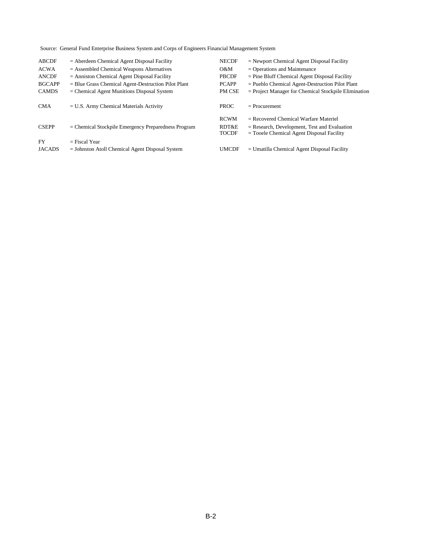Source: General Fund Enterprise Business System and Corps of Engineers Financial Management System

| <b>ABCDF</b>  | $=$ Aberdeen Chemical Agent Disposal Facility         | <b>NECDF</b>          | $=$ Newport Chemical Agent Disposal Facility                                                  |
|---------------|-------------------------------------------------------|-----------------------|-----------------------------------------------------------------------------------------------|
| <b>ACWA</b>   | $=$ Assembled Chemical Weapons Alternatives           | O&M                   | $=$ Operations and Maintenance                                                                |
| <b>ANCDF</b>  | $=$ Anniston Chemical Agent Disposal Facility         | <b>PBCDF</b>          | $=$ Pine Bluff Chemical Agent Disposal Facility                                               |
| <b>BGCAPP</b> | $=$ Blue Grass Chemical Agent-Destruction Pilot Plant | <b>PCAPP</b>          | $=$ Pueblo Chemical Agent-Destruction Pilot Plant                                             |
| <b>CAMDS</b>  | $=$ Chemical Agent Munitions Disposal System          | PM CSE                | $=$ Project Manager for Chemical Stockpile Elimination                                        |
| <b>CMA</b>    | $= U.S.$ Army Chemical Materials Activity             | <b>PROC</b>           | $=$ Procurement                                                                               |
|               |                                                       | <b>RCWM</b>           | $=$ Recovered Chemical Warfare Materiel                                                       |
|               |                                                       |                       |                                                                                               |
| <b>CSEPP</b>  | $=$ Chemical Stockpile Emergency Preparedness Program | RDT&E<br><b>TOCDF</b> | $=$ Research, Development, Test and Evaluation<br>$=$ Tooele Chemical Agent Disposal Facility |
| <b>FY</b>     | $=$ Fiscal Year                                       |                       |                                                                                               |
| <b>JACADS</b> | $=$ Johnston Atoll Chemical Agent Disposal System     | <b>UMCDF</b>          | $=$ Umatilla Chemical Agent Disposal Facility                                                 |
|               |                                                       |                       |                                                                                               |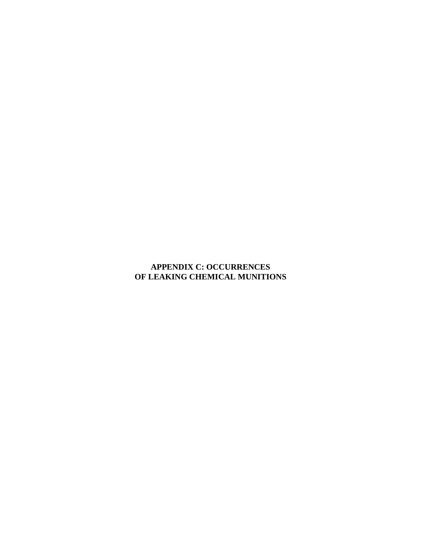# **APPENDIX C: OCCURRENCES OF LEAKING CHEMICAL MUNITIONS**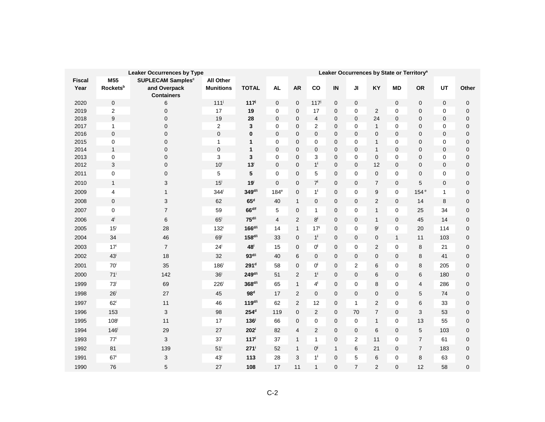|               | <b>Leaker Occurrences by Type</b> |                                     |                    |                      |                            | Leaker Occurrences by State or Territory <sup>a</sup> |                  |              |                                 |                             |                  |                     |                            |             |
|---------------|-----------------------------------|-------------------------------------|--------------------|----------------------|----------------------------|-------------------------------------------------------|------------------|--------------|---------------------------------|-----------------------------|------------------|---------------------|----------------------------|-------------|
| <b>Fiscal</b> | M55                               | <b>SUPLECAM Samples<sup>c</sup></b> | <b>All Other</b>   |                      |                            |                                                       |                  |              |                                 |                             |                  |                     |                            |             |
| Year          | Rockets <sup>b</sup>              | and Overpack<br><b>Containers</b>   | <b>Munitions</b>   | <b>TOTAL</b>         | <b>AL</b>                  | <b>AR</b>                                             | co               | IN           | JI                              | KY                          | <b>MD</b>        | <b>OR</b>           | UT                         | Other       |
| 2020          | $\mathbf 0$                       | 6                                   | 111 <sup>j</sup>   | $117^{j}$            | $\mathbf 0$                | $\mathbf 0$                                           | $117^j$          | $\mathbf 0$  | $\mathbf 0$                     |                             | $\pmb{0}$        | 0                   | $\mathbf 0$                | $\pmb{0}$   |
| 2019          | $\overline{2}$                    | $\mathbf 0$                         | 17                 | 19                   | 0                          | 0                                                     | 17               | 0            | 0                               | $\overline{2}$              | 0                | 0                   | $\mathbf 0$                | 0           |
| 2018          | 9                                 | $\mathbf 0$                         | 19                 | 28                   | $\mathbf 0$                | $\mathbf 0$                                           | $\overline{4}$   | 0            | $\mathbf 0$                     | 24                          | 0                | 0                   | $\mathbf 0$                | 0           |
| 2017          | 1                                 | $\mathbf 0$                         | $\overline{2}$     | 3                    | $\mathbf 0$                | $\mathbf 0$                                           | $\overline{2}$   | 0            | $\mathbf 0$                     | $\mathbf{1}$                | 0                | $\overline{0}$      | $\mathbf 0$                | 0           |
| 2016          | 0                                 | $\mathbf 0$                         | 0                  | 0                    | $\mathbf 0$                | $\mathbf 0$                                           | 0                | 0            | $\mathbf 0$                     | 0                           | 0                | 0                   | $\mathbf 0$                | 0           |
| 2015          | 0                                 | $\mathbf 0$                         | $\mathbf{1}$       | 1                    | $\mathbf 0$                | $\mathbf 0$                                           | $\mathbf 0$      | 0            | $\mathbf 0$                     | 1                           | 0                | $\overline{0}$      | $\mathbf 0$                | 0           |
| 2014<br>2013  | 1<br>0                            | $\mathbf 0$<br>$\mathbf 0$          | 0<br>3             | 1<br>3               | $\mathbf 0$<br>$\mathbf 0$ | $\mathbf 0$<br>$\mathbf 0$                            | 0<br>3           | 0<br>0       | $\boldsymbol{0}$<br>$\mathbf 0$ | $\mathbf{1}$<br>$\mathbf 0$ | 0<br>0           | 0<br>$\overline{0}$ | $\mathbf 0$<br>$\mathbf 0$ | 0<br>0      |
| 2012          | 3                                 | $\mathbf 0$                         | $10^{\mathrm{i}}$  | $13^{\mathrm{i}}$    | $\mathbf 0$                | $\mathbf 0$                                           | $1^i$            | 0            | $\overline{0}$                  | 12                          | 0                | 0                   | $\mathbf 0$                | 0           |
| 2011          | 0                                 | 0                                   | 5                  | 5                    | 0                          | $\mathbf 0$                                           | 5                | $\mathbf{0}$ | $\mathbf 0$                     | $\mathbf{0}$                | 0                | 0                   | $\mathbf 0$                | 0           |
| 2010          | $\mathbf{1}$                      | 3                                   | $15^{\mathrm{i}}$  | 19 <sup>i</sup>      | $\mathbf 0$                | $\mathbf 0$                                           | $7^{i}$          | 0            | $\boldsymbol{0}$                | $\overline{7}$              | $\pmb{0}$        | 5                   | $\mathbf 0$                | 0           |
| 2009          | 4                                 | $\mathbf{1}$                        | 344 <sup>i</sup>   | $349$ <sup>d/i</sup> | 184 <sup>e</sup>           | $\mathbf 0$                                           | $1^{\mathrm{i}}$ | $\mathbf 0$  | $\mathbf 0$                     | 9                           | 0                | 154 <sup>e</sup>    | $\mathbf{1}$               | 0           |
| 2008          | 0                                 | 3                                   | 62                 | 65 <sup>d</sup>      | 40                         | $\mathbf{1}$                                          | $\mathbf 0$      | 0            | $\mathbf 0$                     | $\overline{c}$              | $\mathbf 0$      | 14                  | 8                          | 0           |
| 2007          | 0                                 | $\overline{7}$                      | 59                 | 66 <sup>d/f</sup>    | 5                          | $\mathbf 0$                                           | $\mathbf{1}$     | $\mathbf 0$  | 0                               | $\mathbf{1}$                | 0                | 25                  | 34                         | $\mathbf 0$ |
| 2006          | $4^{i}$                           | 6                                   | $65^{\circ}$       | 75 <sup>d/i</sup>    | $\overline{4}$             | $\overline{2}$                                        | $8^{\mathsf{i}}$ | $\mathbf{0}$ | $\mathbf 0$                     | 1                           | 0                | 45                  | 14                         | 0           |
| 2005          | $15^{\mathrm{i}}$                 | 28                                  | 132 <sup>i</sup>   | $166^{d/i}$          | 14                         | $\mathbf{1}$                                          | 17 <sup>i</sup>  | $\mathbf{0}$ | $\mathbf 0$                     | $9^{i}$                     | 0                | 20                  | 114                        | 0           |
| 2004          | 34                                | 46                                  | 69 <sup>i</sup>    | 158 <sup>d/i</sup>   | 33                         | $\mathbf 0$                                           | $1^{\mathsf{i}}$ | $\mathbf 0$  | $\mathbf 0$                     | $\mathbf 0$                 | $\mathbf{1}$     | 11                  | 103                        | 0           |
| 2003          | 17 <sup>i</sup>                   | $\overline{7}$                      | $24^{\mathrm{i}}$  | 48 <sup>i</sup>      | 15                         | $\mathbf 0$                                           | 0і               | 0            | $\mathbf 0$                     | 2                           | 0                | 8                   | 21                         | 0           |
| 2002          | $43^{\mathrm{i}}$                 | 18                                  | 32                 | 93 <sup>d/i</sup>    | 40                         | 6                                                     | $\mathbf 0$      | 0            | $\boldsymbol{0}$                | 0                           | 0                | 8                   | 41                         | 0           |
| 2001          | $70^{\rm i}$                      | 35                                  | $186^{\circ}$      | 291 <sup>d</sup>     | 58                         | $\overline{0}$                                        | 0 <sup>i</sup>   | $\mathbf{0}$ | $\overline{2}$                  | 6                           | 0                | 8                   | 205                        | $\mathbf 0$ |
| 2000          | $71^{\mathrm{i}}$                 | 142                                 | 36 <sup>i</sup>    | $249^{d/i}$          | 51                         | $\overline{2}$                                        | $1^{\mathsf{i}}$ | 0            | $\mathbf 0$                     | 6                           | 0                | 6                   | 180                        | 0           |
| 1999          | $73^{\mathrm{i}}$                 | 69                                  | $226^{\mathrm{i}}$ | 368 <sup>d/i</sup>   | 65                         | $\mathbf{1}$                                          | $4^{\mathsf{i}}$ | 0            | $\mathbf 0$                     | 8                           | 0                | 4                   | 286                        | 0           |
| 1998          | $26^{\mathrm{i}}$                 | 27                                  | 45                 | 98 <sup>d</sup>      | 17                         | $\overline{2}$                                        | 0                | 0            | $\boldsymbol{0}$                | $\pmb{0}$                   | 0                | 5                   | 74                         | 0           |
| 1997          | $62^{\mathrm{i}}$                 | 11                                  | 46                 | $119^{d/i}$          | 62                         | $\overline{2}$                                        | 12               | 0            | $\mathbf{1}$                    | $\overline{2}$              | 0                | 6                   | 33                         | 0           |
| 1996          | 153                               | 3                                   | 98                 | 254 <sup>d</sup>     | 119                        | $\overline{0}$                                        | $\overline{2}$   | 0            | 70                              | $\overline{7}$              | 0                | 3                   | 53                         | 0           |
| 1995          | 108                               | 11                                  | 17                 | 136 <sup>i</sup>     | 66                         | $\mathbf 0$                                           | $\mathbf 0$      | 0            | $\mathbf 0$                     | 1                           | $\boldsymbol{0}$ | 13                  | 55                         | 0           |
| 1994          | $146^{\mathrm{i}}$                | 29                                  | 27                 | $202^{\mathrm{i}}$   | 82                         | 4                                                     | $\overline{2}$   | $\mathbf 0$  | $\mathbf 0$                     | 6                           | 0                | 5                   | 103                        | 0           |
| 1993          | $77^i$                            | 3                                   | 37                 | 117 <sup>i</sup>     | 37                         | $\mathbf{1}$                                          | $\mathbf{1}$     | 0            | $\overline{2}$                  | 11                          | 0                | $\overline{7}$      | 61                         | 0           |
| 1992          | 81                                | 139                                 | $51^{\mathrm{i}}$  | 271                  | 52                         | $\mathbf{1}$                                          | О,               | $\mathbf{1}$ | 6                               | 21                          | 0                | $\overline{7}$      | 183                        | 0           |
| 1991          | 67 <sup>i</sup>                   | 3                                   | 43 <sup>i</sup>    | 113                  | 28                         | 3                                                     | $1^i$            | $\Omega$     | 5                               | 6                           | 0                | 8                   | 63                         | 0           |
| 1990          | 76                                | 5                                   | 27                 | 108                  | 17                         | 11                                                    | $\mathbf{1}$     | $\mathbf{0}$ | $\overline{7}$                  | 2                           | 0                | 12                  | 58                         | 0           |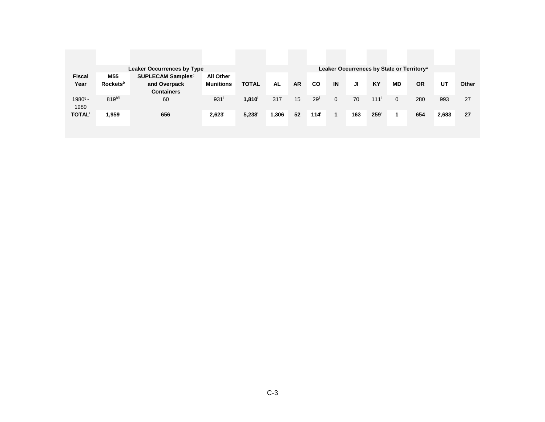|               |                             | <b>Leaker Occurrences by Type</b> |                  |              |           |           |                  |              |     |                  |              | Leaker Occurrences by State or Territory <sup>a</sup> |       |       |
|---------------|-----------------------------|-----------------------------------|------------------|--------------|-----------|-----------|------------------|--------------|-----|------------------|--------------|-------------------------------------------------------|-------|-------|
| <b>Fiscal</b> | M55                         | SUPLECAM Samples <sup>c</sup>     | All Other        |              |           |           |                  |              |     |                  |              |                                                       |       |       |
| Year          | <b>Rockets</b> <sup>b</sup> | and Overpack                      | <b>Munitions</b> | <b>TOTAL</b> | <b>AL</b> | <b>AR</b> | <b>CO</b>        | IN           | JI  | <b>KY</b>        | <b>MD</b>    | <b>OR</b>                                             | UT    | Other |
|               |                             | <b>Containers</b>                 |                  |              |           |           |                  |              |     |                  |              |                                                       |       |       |
| $19809 -$     | $819^{h/i}$                 | 60                                | 931              | $1,810^{i}$  | 317       | 15        | 29 <sup>i</sup>  | $\mathbf 0$  | 70  | 111 <sup>i</sup> | $\mathbf{0}$ | 280                                                   | 993   | 27    |
| 1989          |                             |                                   |                  |              |           |           |                  |              |     |                  |              |                                                       |       |       |
| <b>TOTAL</b>  | 1,959 <sup>i</sup>          | 656                               | $2,623^{\circ}$  | 5,238        | 1,306     | 52        | 114 <sup>i</sup> | $\mathbf{1}$ | 163 | 259 <sup>1</sup> | 1            | 654                                                   | 2,683 | 27    |
|               |                             |                                   |                  |              |           |           |                  |              |     |                  |              |                                                       |       |       |
|               |                             |                                   |                  |              |           |           |                  |              |     |                  |              |                                                       |       |       |